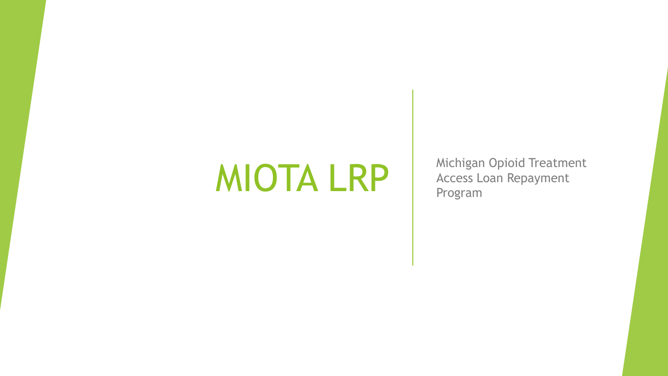MIOTA LRP Michigan Opioid Treatment Access Loan Repayment Program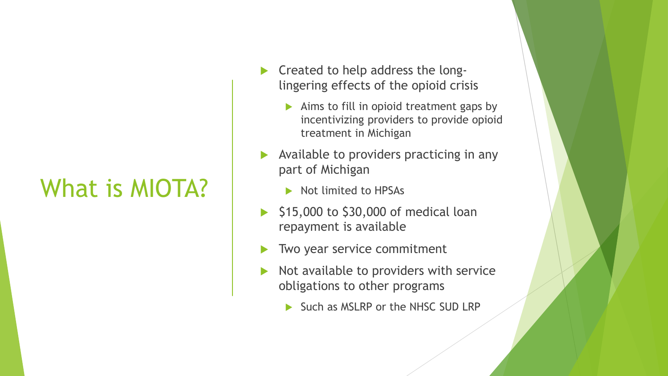### What is MIOTA?

- $\triangleright$  Created to help address the longlingering effects of the opioid crisis
	- Aims to fill in opioid treatment gaps by incentivizing providers to provide opioid treatment in Michigan
- Available to providers practicing in any part of Michigan
	- Not limited to HPSAs
- $\blacktriangleright$  \$15,000 to \$30,000 of medical loan repayment is available
- Two year service commitment
- $\triangleright$  Not available to providers with service obligations to other programs
	- Such as MSLRP or the NHSC SUD LRP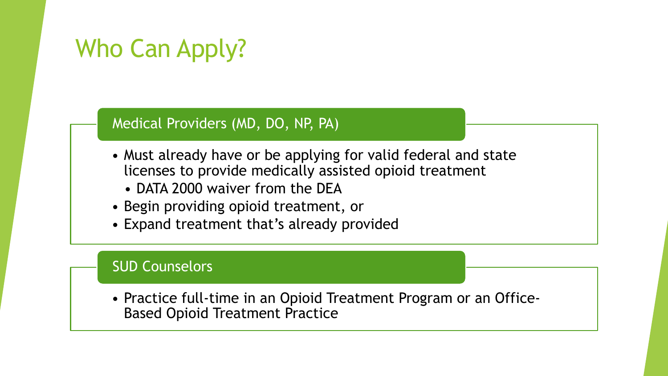# Who Can Apply?

### Medical Providers (MD, DO, NP, PA)

- Must already have or be applying for valid federal and state licenses to provide medically assisted opioid treatment
	- DATA 2000 waiver from the DEA
- Begin providing opioid treatment, or
- Expand treatment that's already provided

### SUD Counselors

• Practice full-time in an Opioid Treatment Program or an Office-Based Opioid Treatment Practice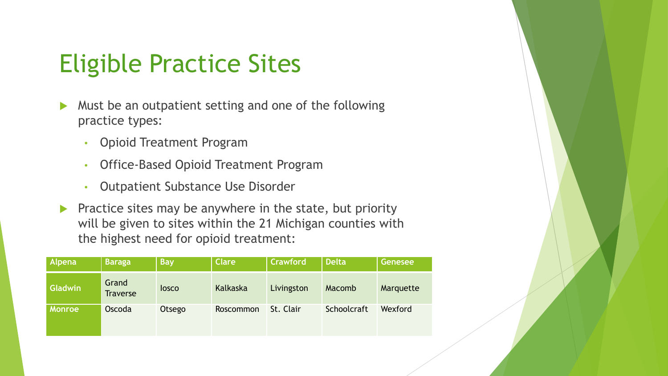### Eligible Practice Sites

- Must be an outpatient setting and one of the following practice types:
	- Opioid Treatment Program
	- Office-Based Opioid Treatment Program
	- Outpatient Substance Use Disorder
- **Practice sites may be anywhere in the state, but priority** will be given to sites within the 21 Michigan counties with the highest need for opioid treatment:

| Alpena        | <b>Baraga</b>            | <b>Bay</b>   | <b>Clare</b> | <b>Crawford</b> | <b>Delta</b> | Genesee   |
|---------------|--------------------------|--------------|--------------|-----------------|--------------|-----------|
| Gladwin       | Grand<br><b>Traverse</b> | <b>losco</b> | Kalkaska     | Livingston      | Macomb       | Marquette |
| <b>Monroe</b> | Oscoda                   | Otsego       | Roscommon    | St. Clair       | Schoolcraft  | Wexford   |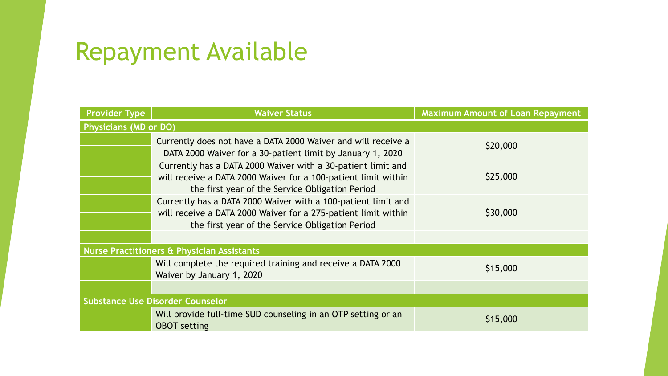# Repayment Available

| <b>Provider Type</b>                                  | <b>Waiver Status</b>                                                                                                                                                               | <b>Maximum Amount of Loan Repayment</b> |  |  |  |  |
|-------------------------------------------------------|------------------------------------------------------------------------------------------------------------------------------------------------------------------------------------|-----------------------------------------|--|--|--|--|
| <b>Physicians (MD or DO)</b>                          |                                                                                                                                                                                    |                                         |  |  |  |  |
|                                                       | Currently does not have a DATA 2000 Waiver and will receive a<br>DATA 2000 Waiver for a 30-patient limit by January 1, 2020                                                        | \$20,000                                |  |  |  |  |
|                                                       | Currently has a DATA 2000 Waiver with a 30-patient limit and<br>will receive a DATA 2000 Waiver for a 100-patient limit within<br>the first year of the Service Obligation Period  | \$25,000                                |  |  |  |  |
|                                                       | Currently has a DATA 2000 Waiver with a 100-patient limit and<br>will receive a DATA 2000 Waiver for a 275-patient limit within<br>the first year of the Service Obligation Period | \$30,000                                |  |  |  |  |
| <b>Nurse Practitioners &amp; Physician Assistants</b> |                                                                                                                                                                                    |                                         |  |  |  |  |
|                                                       | Will complete the required training and receive a DATA 2000<br>Waiver by January 1, 2020                                                                                           | \$15,000                                |  |  |  |  |
|                                                       |                                                                                                                                                                                    |                                         |  |  |  |  |
| <b>Substance Use Disorder Counselor</b>               |                                                                                                                                                                                    |                                         |  |  |  |  |
|                                                       | Will provide full-time SUD counseling in an OTP setting or an<br><b>OBOT</b> setting                                                                                               | \$15,000                                |  |  |  |  |